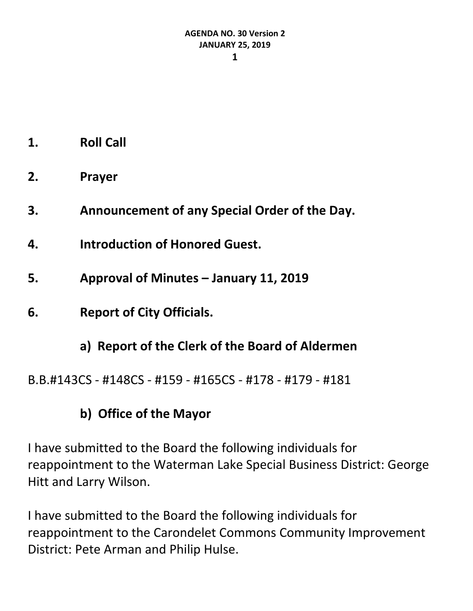- **1. Roll Call**
- **2. Prayer**
- **3. Announcement of any Special Order of the Day.**
- **4. Introduction of Honored Guest.**
- **5. Approval of Minutes – January 11, 2019**
- **6. Report of City Officials.**
	- **a) Report of the Clerk of the Board of Aldermen**

B.B.#143CS - #148CS - #159 - #165CS - #178 - #179 - #181

# **b) Office of the Mayor**

I have submitted to the Board the following individuals for reappointment to the Waterman Lake Special Business District: George Hitt and Larry Wilson.

I have submitted to the Board the following individuals for reappointment to the Carondelet Commons Community Improvement District: Pete Arman and Philip Hulse.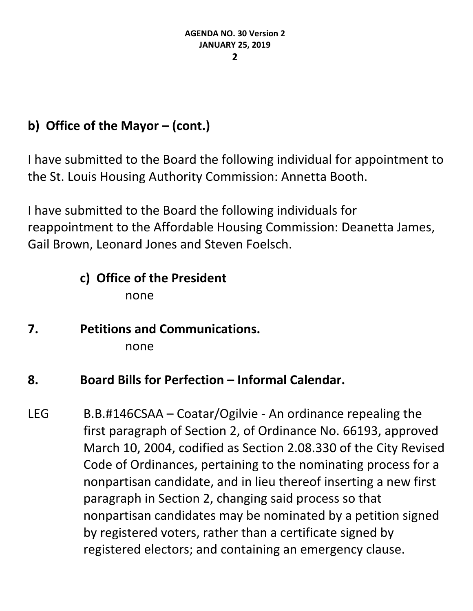# **b) Office of the Mayor – (cont.)**

I have submitted to the Board the following individual for appointment to the St. Louis Housing Authority Commission: Annetta Booth.

I have submitted to the Board the following individuals for reappointment to the Affordable Housing Commission: Deanetta James, Gail Brown, Leonard Jones and Steven Foelsch.

# **c) Office of the President**

none

**7. Petitions and Communications.** none

## **8. Board Bills for Perfection – Informal Calendar.**

LEG B.B.#146CSAA – Coatar/Ogilvie - An ordinance repealing the first paragraph of Section 2, of Ordinance No. 66193, approved March 10, 2004, codified as Section 2.08.330 of the City Revised Code of Ordinances, pertaining to the nominating process for a nonpartisan candidate, and in lieu thereof inserting a new first paragraph in Section 2, changing said process so that nonpartisan candidates may be nominated by a petition signed by registered voters, rather than a certificate signed by registered electors; and containing an emergency clause.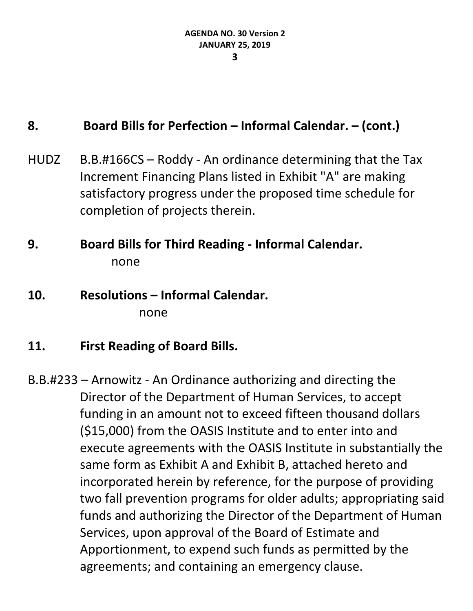#### **8. Board Bills for Perfection – Informal Calendar. – (cont.)**

HUDZ B.B.#166CS – Roddy - An ordinance determining that the Tax Increment Financing Plans listed in Exhibit "A" are making satisfactory progress under the proposed time schedule for completion of projects therein.

## **9. Board Bills for Third Reading - Informal Calendar.** none

**10. Resolutions – Informal Calendar.** none

#### **11. First Reading of Board Bills.**

B.B.#233 – Arnowitz - An Ordinance authorizing and directing the Director of the Department of Human Services, to accept funding in an amount not to exceed fifteen thousand dollars (\$15,000) from the OASIS Institute and to enter into and execute agreements with the OASIS Institute in substantially the same form as Exhibit A and Exhibit B, attached hereto and incorporated herein by reference, for the purpose of providing two fall prevention programs for older adults; appropriating said funds and authorizing the Director of the Department of Human Services, upon approval of the Board of Estimate and Apportionment, to expend such funds as permitted by the agreements; and containing an emergency clause.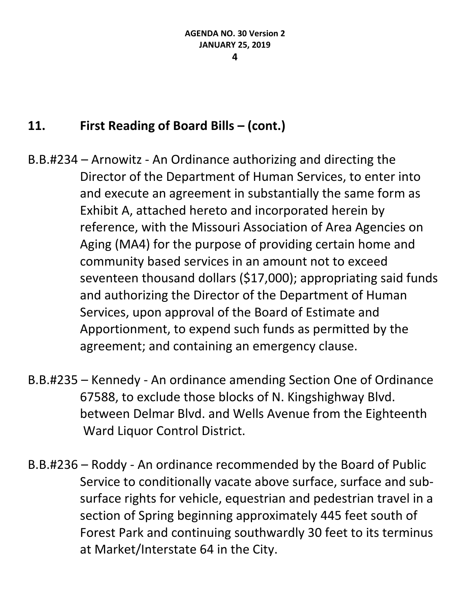### **11. First Reading of Board Bills – (cont.)**

- B.B.#234 Arnowitz An Ordinance authorizing and directing the Director of the Department of Human Services, to enter into and execute an agreement in substantially the same form as Exhibit A, attached hereto and incorporated herein by reference, with the Missouri Association of Area Agencies on Aging (MA4) for the purpose of providing certain home and community based services in an amount not to exceed seventeen thousand dollars (\$17,000); appropriating said funds and authorizing the Director of the Department of Human Services, upon approval of the Board of Estimate and Apportionment, to expend such funds as permitted by the agreement; and containing an emergency clause.
- B.B.#235 Kennedy An ordinance amending Section One of Ordinance 67588, to exclude those blocks of N. Kingshighway Blvd. between Delmar Blvd. and Wells Avenue from the Eighteenth Ward Liquor Control District.
- B.B.#236 Roddy An ordinance recommended by the Board of Public Service to conditionally vacate above surface, surface and subsurface rights for vehicle, equestrian and pedestrian travel in a section of Spring beginning approximately 445 feet south of Forest Park and continuing southwardly 30 feet to its terminus at Market/Interstate 64 in the City.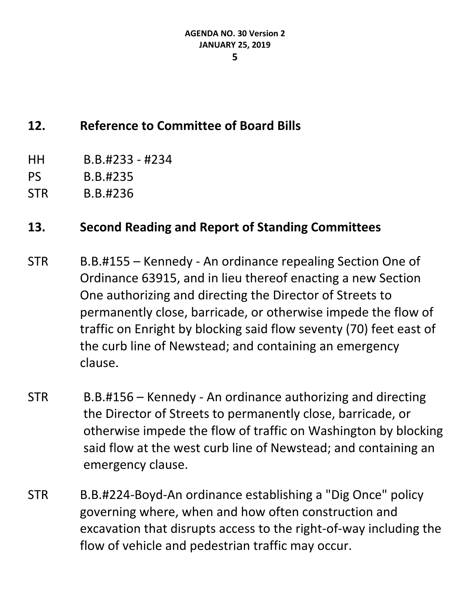## **12. Reference to Committee of Board Bills**

- HH B.B.#233 #234
- PS B.B.#235
- STR B.B.#236

- STR B.B.#155 Kennedy An ordinance repealing Section One of Ordinance 63915, and in lieu thereof enacting a new Section One authorizing and directing the Director of Streets to permanently close, barricade, or otherwise impede the flow of traffic on Enright by blocking said flow seventy (70) feet east of the curb line of Newstead; and containing an emergency clause.
- STR B.B.#156 Kennedy An ordinance authorizing and directing the Director of Streets to permanently close, barricade, or otherwise impede the flow of traffic on Washington by blocking said flow at the west curb line of Newstead; and containing an emergency clause.
- STR B.B.#224-Boyd-An ordinance establishing a "Dig Once" policy governing where, when and how often construction and excavation that disrupts access to the right-of-way including the flow of vehicle and pedestrian traffic may occur.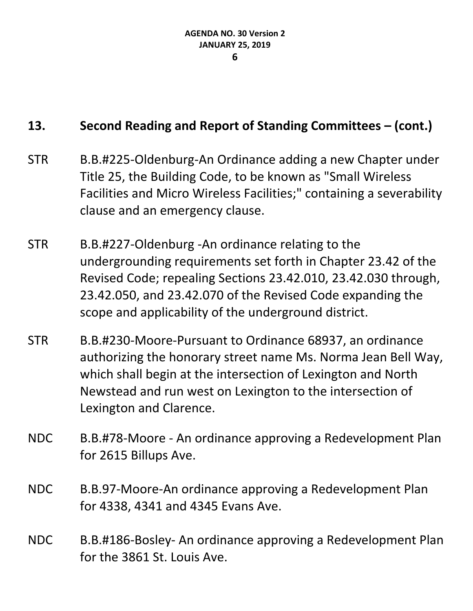- STR B.B.#225-Oldenburg-An Ordinance adding a new Chapter under Title 25, the Building Code, to be known as "Small Wireless Facilities and Micro Wireless Facilities;" containing a severability clause and an emergency clause.
- STR B.B.#227-Oldenburg -An ordinance relating to the undergrounding requirements set forth in Chapter 23.42 of the Revised Code; repealing Sections 23.42.010, 23.42.030 through, 23.42.050, and 23.42.070 of the Revised Code expanding the scope and applicability of the underground district.
- STR B.B.#230-Moore-Pursuant to Ordinance 68937, an ordinance authorizing the honorary street name Ms. Norma Jean Bell Way, which shall begin at the intersection of Lexington and North Newstead and run west on Lexington to the intersection of Lexington and Clarence.
- NDC B.B.#78-Moore An ordinance approving a Redevelopment Plan for 2615 Billups Ave.
- NDC B.B.97-Moore-An ordinance approving a Redevelopment Plan for 4338, 4341 and 4345 Evans Ave.
- NDC B.B.#186-Bosley- An ordinance approving a Redevelopment Plan for the 3861 St. Louis Ave.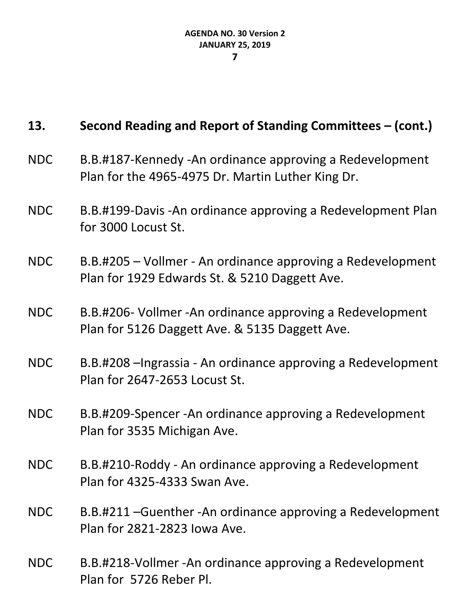- NDC B.B.#187-Kennedy -An ordinance approving a Redevelopment Plan for the 4965-4975 Dr. Martin Luther King Dr.
- NDC B.B.#199-Davis -An ordinance approving a Redevelopment Plan for 3000 Locust St.
- NDC B.B.#205 Vollmer An ordinance approving a Redevelopment Plan for 1929 Edwards St. & 5210 Daggett Ave.
- NDC B.B.#206- Vollmer -An ordinance approving a Redevelopment Plan for 5126 Daggett Ave. & 5135 Daggett Ave.
- NDC B.B.#208 –Ingrassia An ordinance approving a Redevelopment Plan for 2647-2653 Locust St.
- NDC B.B.#209-Spencer -An ordinance approving a Redevelopment Plan for 3535 Michigan Ave.
- NDC B.B.#210-Roddy An ordinance approving a Redevelopment Plan for 4325-4333 Swan Ave.
- NDC B.B.#211 –Guenther -An ordinance approving a Redevelopment Plan for 2821-2823 Iowa Ave.
- NDC B.B.#218-Vollmer -An ordinance approving a Redevelopment Plan for 5726 Reber Pl.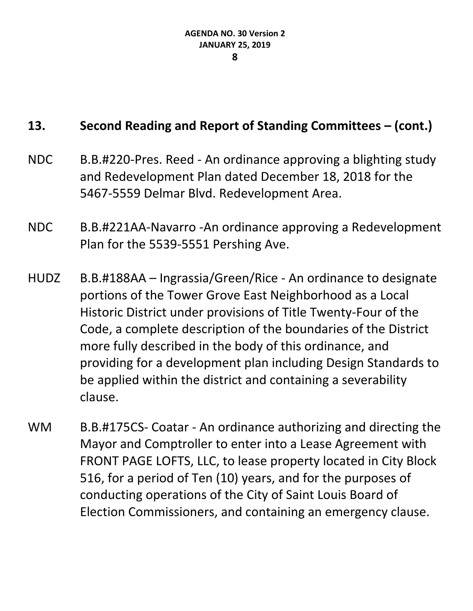- NDC B.B.#220-Pres. Reed An ordinance approving a blighting study and Redevelopment Plan dated December 18, 2018 for the 5467-5559 Delmar Blvd. Redevelopment Area.
- NDC B.B.#221AA-Navarro -An ordinance approving a Redevelopment Plan for the 5539-5551 Pershing Ave.
- HUDZ B.B.#188AA Ingrassia/Green/Rice An ordinance to designate portions of the Tower Grove East Neighborhood as a Local Historic District under provisions of Title Twenty-Four of the Code, a complete description of the boundaries of the District more fully described in the body of this ordinance, and providing for a development plan including Design Standards to be applied within the district and containing a severability clause.
- WM B.B.#175CS- Coatar An ordinance authorizing and directing the Mayor and Comptroller to enter into a Lease Agreement with FRONT PAGE LOFTS, LLC, to lease property located in City Block 516, for a period of Ten (10) years, and for the purposes of conducting operations of the City of Saint Louis Board of Election Commissioners, and containing an emergency clause.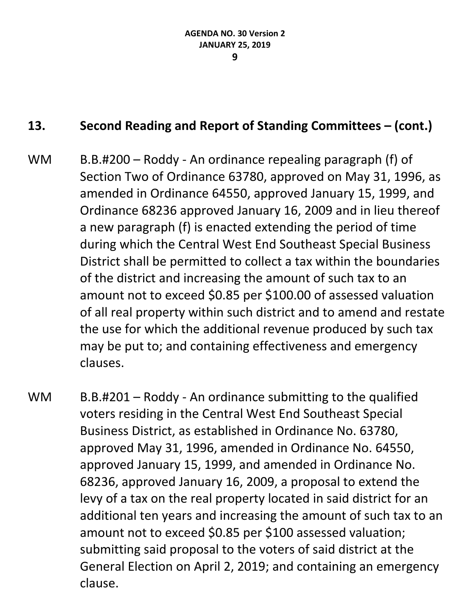- WM B.B.#200 Roddy An ordinance repealing paragraph (f) of Section Two of Ordinance 63780, approved on May 31, 1996, as amended in Ordinance 64550, approved January 15, 1999, and Ordinance 68236 approved January 16, 2009 and in lieu thereof a new paragraph (f) is enacted extending the period of time during which the Central West End Southeast Special Business District shall be permitted to collect a tax within the boundaries of the district and increasing the amount of such tax to an amount not to exceed \$0.85 per \$100.00 of assessed valuation of all real property within such district and to amend and restate the use for which the additional revenue produced by such tax may be put to; and containing effectiveness and emergency clauses.
- WM B.B.#201 Roddy An ordinance submitting to the qualified voters residing in the Central West End Southeast Special Business District, as established in Ordinance No. 63780, approved May 31, 1996, amended in Ordinance No. 64550, approved January 15, 1999, and amended in Ordinance No. 68236, approved January 16, 2009, a proposal to extend the levy of a tax on the real property located in said district for an additional ten years and increasing the amount of such tax to an amount not to exceed \$0.85 per \$100 assessed valuation; submitting said proposal to the voters of said district at the General Election on April 2, 2019; and containing an emergency clause.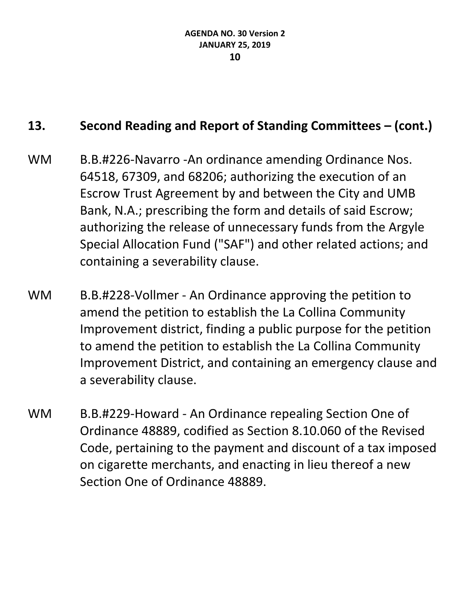- WM B.B.#226-Navarro -An ordinance amending Ordinance Nos. 64518, 67309, and 68206; authorizing the execution of an Escrow Trust Agreement by and between the City and UMB Bank, N.A.; prescribing the form and details of said Escrow; authorizing the release of unnecessary funds from the Argyle Special Allocation Fund ("SAF") and other related actions; and containing a severability clause.
- WM B.B.#228-Vollmer An Ordinance approving the petition to amend the petition to establish the La Collina Community Improvement district, finding a public purpose for the petition to amend the petition to establish the La Collina Community Improvement District, and containing an emergency clause and a severability clause.
- WM B.B.#229-Howard An Ordinance repealing Section One of Ordinance 48889, codified as Section 8.10.060 of the Revised Code, pertaining to the payment and discount of a tax imposed on cigarette merchants, and enacting in lieu thereof a new Section One of Ordinance 48889.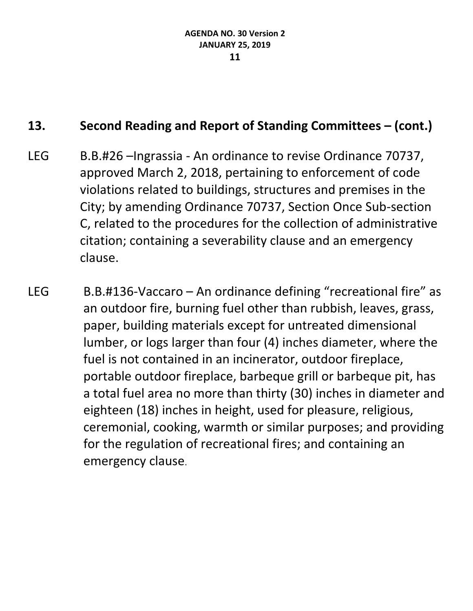- LEG B.B.#26 –Ingrassia An ordinance to revise Ordinance 70737, approved March 2, 2018, pertaining to enforcement of code violations related to buildings, structures and premises in the City; by amending Ordinance 70737, Section Once Sub-section C, related to the procedures for the collection of administrative citation; containing a severability clause and an emergency clause.
- LEG B.B.#136-Vaccaro An ordinance defining "recreational fire" as an outdoor fire, burning fuel other than rubbish, leaves, grass, paper, building materials except for untreated dimensional lumber, or logs larger than four (4) inches diameter, where the fuel is not contained in an incinerator, outdoor fireplace, portable outdoor fireplace, barbeque grill or barbeque pit, has a total fuel area no more than thirty (30) inches in diameter and eighteen (18) inches in height, used for pleasure, religious, ceremonial, cooking, warmth or similar purposes; and providing for the regulation of recreational fires; and containing an emergency clause.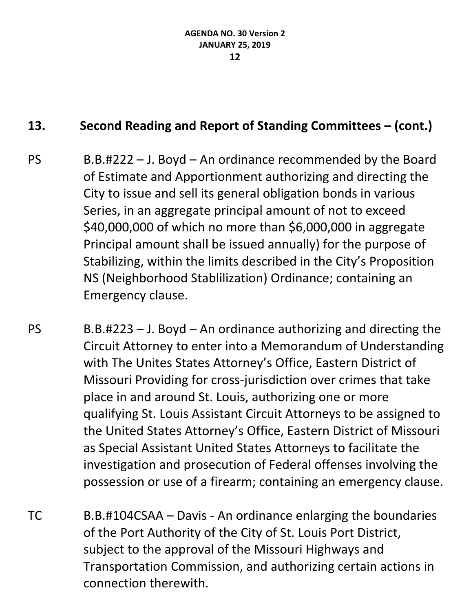- PS B.B.#222 J. Boyd An ordinance recommended by the Board of Estimate and Apportionment authorizing and directing the City to issue and sell its general obligation bonds in various Series, in an aggregate principal amount of not to exceed \$40,000,000 of which no more than \$6,000,000 in aggregate Principal amount shall be issued annually) for the purpose of Stabilizing, within the limits described in the City's Proposition NS (Neighborhood Stablilization) Ordinance; containing an Emergency clause.
- $PS$  B.B.#223 J. Boyd An ordinance authorizing and directing the Circuit Attorney to enter into a Memorandum of Understanding with The Unites States Attorney's Office, Eastern District of Missouri Providing for cross-jurisdiction over crimes that take place in and around St. Louis, authorizing one or more qualifying St. Louis Assistant Circuit Attorneys to be assigned to the United States Attorney's Office, Eastern District of Missouri as Special Assistant United States Attorneys to facilitate the investigation and prosecution of Federal offenses involving the possession or use of a firearm; containing an emergency clause.
- TC B.B.#104CSAA Davis An ordinance enlarging the boundaries of the Port Authority of the City of St. Louis Port District, subject to the approval of the Missouri Highways and Transportation Commission, and authorizing certain actions in connection therewith.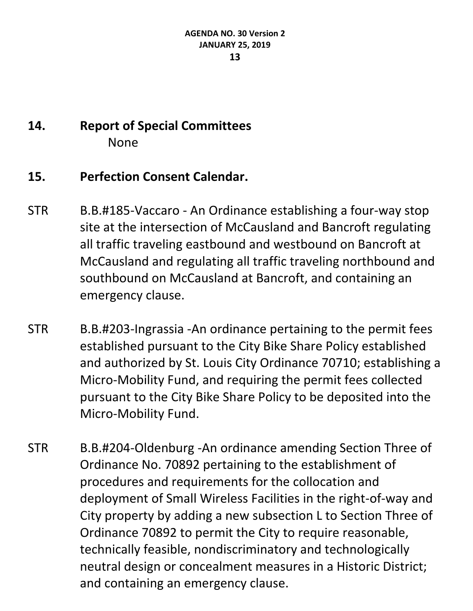# **14. Report of Special Committees** None

## **15. Perfection Consent Calendar.**

- STR B.B.#185-Vaccaro An Ordinance establishing a four-way stop site at the intersection of McCausland and Bancroft regulating all traffic traveling eastbound and westbound on Bancroft at McCausland and regulating all traffic traveling northbound and southbound on McCausland at Bancroft, and containing an emergency clause.
- STR B.B.#203-Ingrassia -An ordinance pertaining to the permit fees established pursuant to the City Bike Share Policy established and authorized by St. Louis City Ordinance 70710; establishing a Micro-Mobility Fund, and requiring the permit fees collected pursuant to the City Bike Share Policy to be deposited into the Micro-Mobility Fund.
- STR B.B.#204-Oldenburg -An ordinance amending Section Three of Ordinance No. 70892 pertaining to the establishment of procedures and requirements for the collocation and deployment of Small Wireless Facilities in the right-of-way and City property by adding a new subsection L to Section Three of Ordinance 70892 to permit the City to require reasonable, technically feasible, nondiscriminatory and technologically neutral design or concealment measures in a Historic District; and containing an emergency clause.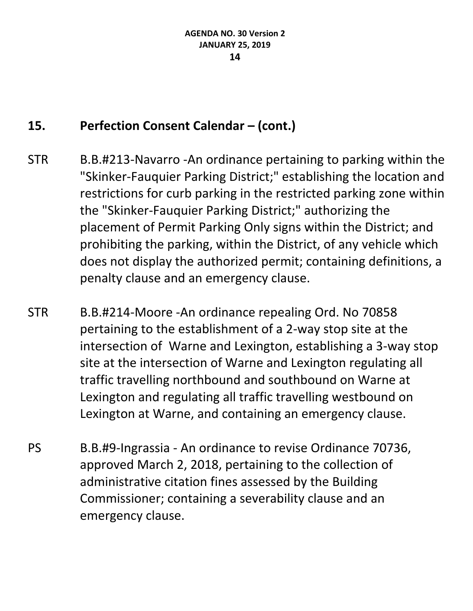- STR B.B.#213-Navarro -An ordinance pertaining to parking within the "Skinker-Fauquier Parking District;" establishing the location and restrictions for curb parking in the restricted parking zone within the "Skinker-Fauquier Parking District;" authorizing the placement of Permit Parking Only signs within the District; and prohibiting the parking, within the District, of any vehicle which does not display the authorized permit; containing definitions, a penalty clause and an emergency clause.
- STR B.B.#214-Moore -An ordinance repealing Ord. No 70858 pertaining to the establishment of a 2-way stop site at the intersection of Warne and Lexington, establishing a 3-way stop site at the intersection of Warne and Lexington regulating all traffic travelling northbound and southbound on Warne at Lexington and regulating all traffic travelling westbound on Lexington at Warne, and containing an emergency clause.
- PS B.B.#9-Ingrassia An ordinance to revise Ordinance 70736, approved March 2, 2018, pertaining to the collection of administrative citation fines assessed by the Building Commissioner; containing a severability clause and an emergency clause.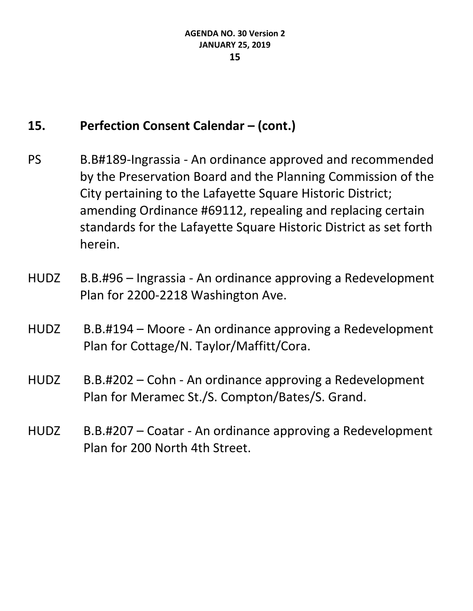- PS B.B#189-Ingrassia An ordinance approved and recommended by the Preservation Board and the Planning Commission of the City pertaining to the Lafayette Square Historic District; amending Ordinance #69112, repealing and replacing certain standards for the Lafayette Square Historic District as set forth herein.
- HUDZ B.B.#96 Ingrassia An ordinance approving a Redevelopment Plan for 2200-2218 Washington Ave.
- HUDZ B.B.#194 Moore An ordinance approving a Redevelopment Plan for Cottage/N. Taylor/Maffitt/Cora.
- HUDZ B.B.#202 Cohn An ordinance approving a Redevelopment Plan for Meramec St./S. Compton/Bates/S. Grand.
- HUDZ B.B.#207 Coatar An ordinance approving a Redevelopment Plan for 200 North 4th Street.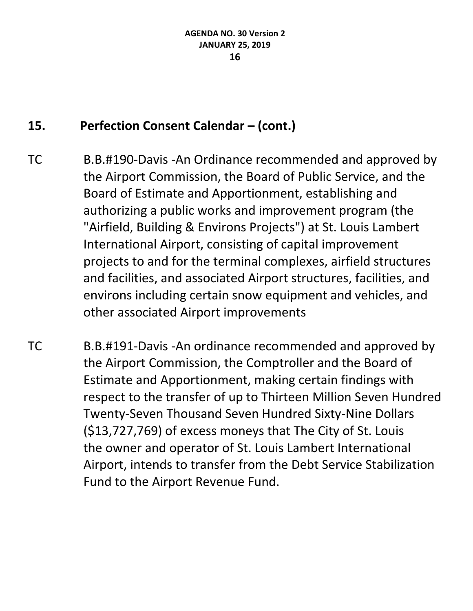- TC B.B.#190-Davis -An Ordinance recommended and approved by the Airport Commission, the Board of Public Service, and the Board of Estimate and Apportionment, establishing and authorizing a public works and improvement program (the "Airfield, Building & Environs Projects") at St. Louis Lambert International Airport, consisting of capital improvement projects to and for the terminal complexes, airfield structures and facilities, and associated Airport structures, facilities, and environs including certain snow equipment and vehicles, and other associated Airport improvements
- TC B.B.#191-Davis -An ordinance recommended and approved by the Airport Commission, the Comptroller and the Board of Estimate and Apportionment, making certain findings with respect to the transfer of up to Thirteen Million Seven Hundred Twenty-Seven Thousand Seven Hundred Sixty-Nine Dollars (\$13,727,769) of excess moneys that The City of St. Louis the owner and operator of St. Louis Lambert International Airport, intends to transfer from the Debt Service Stabilization Fund to the Airport Revenue Fund.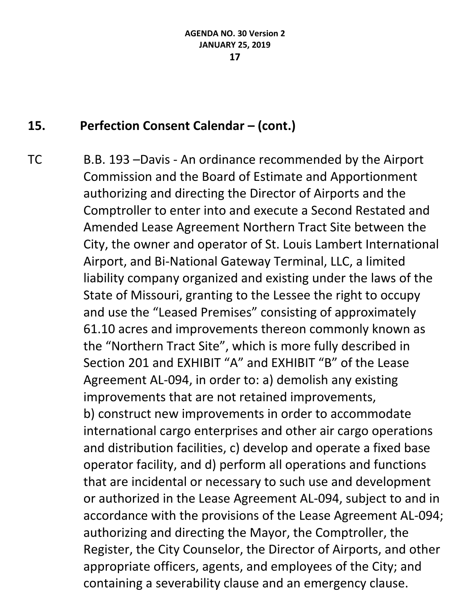TC B.B. 193 –Davis - An ordinance recommended by the Airport Commission and the Board of Estimate and Apportionment authorizing and directing the Director of Airports and the Comptroller to enter into and execute a Second Restated and Amended Lease Agreement Northern Tract Site between the City, the owner and operator of St. Louis Lambert International Airport, and Bi-National Gateway Terminal, LLC, a limited liability company organized and existing under the laws of the State of Missouri, granting to the Lessee the right to occupy and use the "Leased Premises" consisting of approximately 61.10 acres and improvements thereon commonly known as the "Northern Tract Site", which is more fully described in Section 201 and EXHIBIT "A" and EXHIBIT "B" of the Lease Agreement AL-094, in order to: a) demolish any existing improvements that are not retained improvements, b) construct new improvements in order to accommodate international cargo enterprises and other air cargo operations and distribution facilities, c) develop and operate a fixed base operator facility, and d) perform all operations and functions that are incidental or necessary to such use and development or authorized in the Lease Agreement AL-094, subject to and in accordance with the provisions of the Lease Agreement AL-094; authorizing and directing the Mayor, the Comptroller, the Register, the City Counselor, the Director of Airports, and other appropriate officers, agents, and employees of the City; and containing a severability clause and an emergency clause.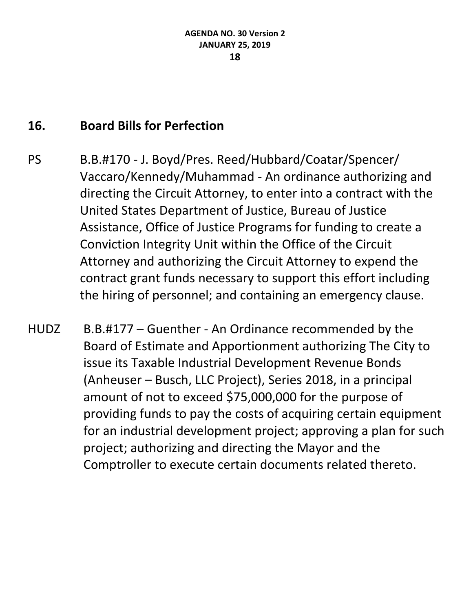### **16. Board Bills for Perfection**

- PS B.B.#170 J. Boyd/Pres. Reed/Hubbard/Coatar/Spencer/ Vaccaro/Kennedy/Muhammad - An ordinance authorizing and directing the Circuit Attorney, to enter into a contract with the United States Department of Justice, Bureau of Justice Assistance, Office of Justice Programs for funding to create a Conviction Integrity Unit within the Office of the Circuit Attorney and authorizing the Circuit Attorney to expend the contract grant funds necessary to support this effort including the hiring of personnel; and containing an emergency clause.
- HUDZ B.B.#177 Guenther An Ordinance recommended by the Board of Estimate and Apportionment authorizing The City to issue its Taxable Industrial Development Revenue Bonds (Anheuser – Busch, LLC Project), Series 2018, in a principal amount of not to exceed \$75,000,000 for the purpose of providing funds to pay the costs of acquiring certain equipment for an industrial development project; approving a plan for such project; authorizing and directing the Mayor and the Comptroller to execute certain documents related thereto.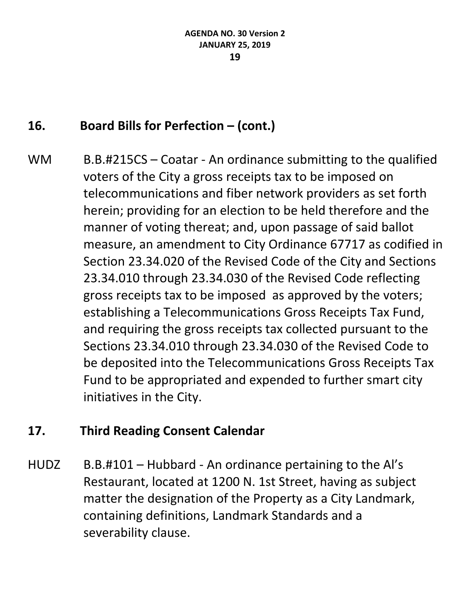# **16. Board Bills for Perfection – (cont.)**

WM B.B.#215CS – Coatar - An ordinance submitting to the qualified voters of the City a gross receipts tax to be imposed on telecommunications and fiber network providers as set forth herein; providing for an election to be held therefore and the manner of voting thereat; and, upon passage of said ballot measure, an amendment to City Ordinance 67717 as codified in Section 23.34.020 of the Revised Code of the City and Sections 23.34.010 through 23.34.030 of the Revised Code reflecting gross receipts tax to be imposed as approved by the voters; establishing a Telecommunications Gross Receipts Tax Fund, and requiring the gross receipts tax collected pursuant to the Sections 23.34.010 through 23.34.030 of the Revised Code to be deposited into the Telecommunications Gross Receipts Tax Fund to be appropriated and expended to further smart city initiatives in the City.

### **17. Third Reading Consent Calendar**

HUDZ B.B.#101 – Hubbard - An ordinance pertaining to the Al's Restaurant, located at 1200 N. 1st Street, having as subject matter the designation of the Property as a City Landmark, containing definitions, Landmark Standards and a severability clause.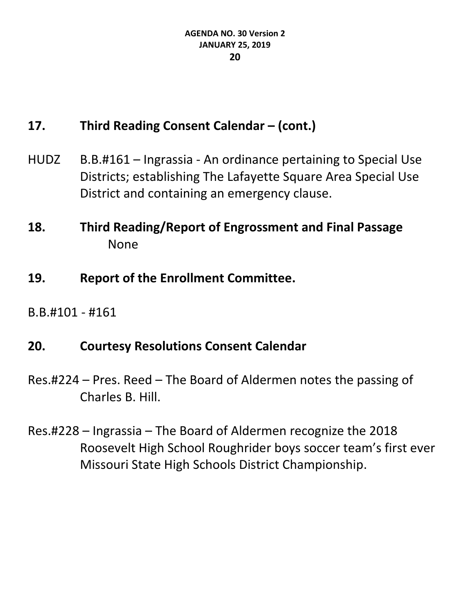## **17. Third Reading Consent Calendar – (cont.)**

- HUDZ B.B.#161 Ingrassia An ordinance pertaining to Special Use Districts; establishing The Lafayette Square Area Special Use District and containing an emergency clause.
- **18. Third Reading/Report of Engrossment and Final Passage** None
- **19. Report of the Enrollment Committee.**
- B.B.#101 #161

#### **20. Courtesy Resolutions Consent Calendar**

- Res.#224 Pres. Reed The Board of Aldermen notes the passing of Charles B. Hill.
- Res.#228 Ingrassia The Board of Aldermen recognize the 2018 Roosevelt High School Roughrider boys soccer team's first ever Missouri State High Schools District Championship.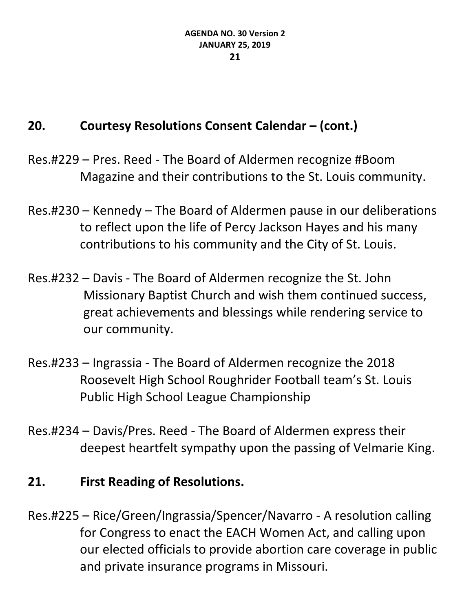# **20. Courtesy Resolutions Consent Calendar – (cont.)**

- Res.#229 Pres. Reed The Board of Aldermen recognize #Boom Magazine and their contributions to the St. Louis community.
- Res.#230 Kennedy The Board of Aldermen pause in our deliberations to reflect upon the life of Percy Jackson Hayes and his many contributions to his community and the City of St. Louis.
- Res.#232 Davis The Board of Aldermen recognize the St. John Missionary Baptist Church and wish them continued success, great achievements and blessings while rendering service to our community.
- Res.#233 Ingrassia The Board of Aldermen recognize the 2018 Roosevelt High School Roughrider Football team's St. Louis Public High School League Championship
- Res.#234 Davis/Pres. Reed The Board of Aldermen express their deepest heartfelt sympathy upon the passing of Velmarie King.

## **21. First Reading of Resolutions.**

Res.#225 – Rice/Green/Ingrassia/Spencer/Navarro - A resolution calling for Congress to enact the EACH Women Act, and calling upon our elected officials to provide abortion care coverage in public and private insurance programs in Missouri.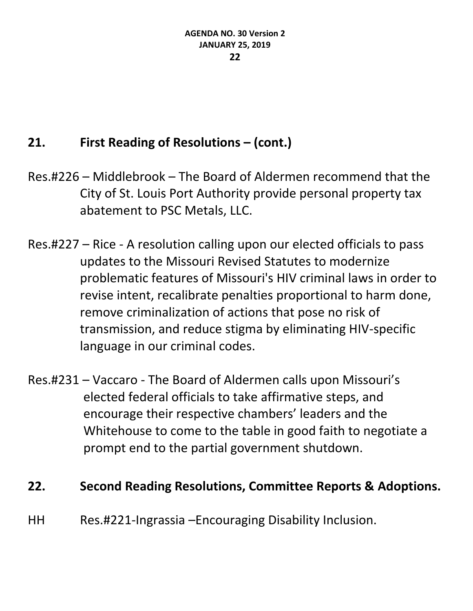# **21. First Reading of Resolutions – (cont.)**

- Res.#226 Middlebrook The Board of Aldermen recommend that the City of St. Louis Port Authority provide personal property tax abatement to PSC Metals, LLC.
- Res.#227 Rice A resolution calling upon our elected officials to pass updates to the Missouri Revised Statutes to modernize problematic features of Missouri's HIV criminal laws in order to revise intent, recalibrate penalties proportional to harm done, remove criminalization of actions that pose no risk of transmission, and reduce stigma by eliminating HIV-specific language in our criminal codes.
- Res.#231 Vaccaro The Board of Aldermen calls upon Missouri's elected federal officials to take affirmative steps, and encourage their respective chambers' leaders and the Whitehouse to come to the table in good faith to negotiate a prompt end to the partial government shutdown.

### **22. Second Reading Resolutions, Committee Reports & Adoptions.**

HH Res.#221-Ingrassia –Encouraging Disability Inclusion.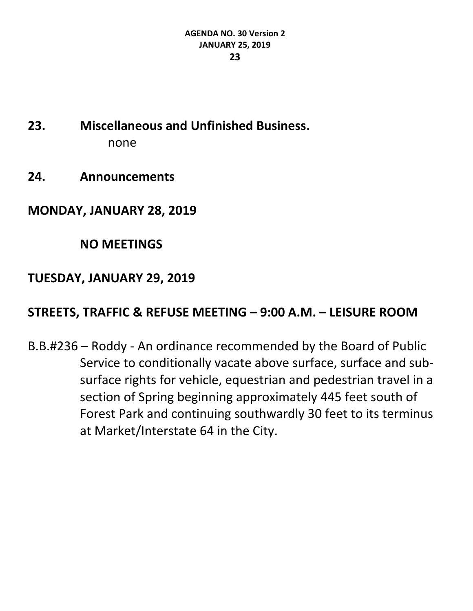- **23. Miscellaneous and Unfinished Business.** none
- **24. Announcements**

#### **MONDAY, JANUARY 28, 2019**

#### **NO MEETINGS**

#### **TUESDAY, JANUARY 29, 2019**

#### **STREETS, TRAFFIC & REFUSE MEETING – 9:00 A.M. – LEISURE ROOM**

B.B.#236 – Roddy - An ordinance recommended by the Board of Public Service to conditionally vacate above surface, surface and subsurface rights for vehicle, equestrian and pedestrian travel in a section of Spring beginning approximately 445 feet south of Forest Park and continuing southwardly 30 feet to its terminus at Market/Interstate 64 in the City.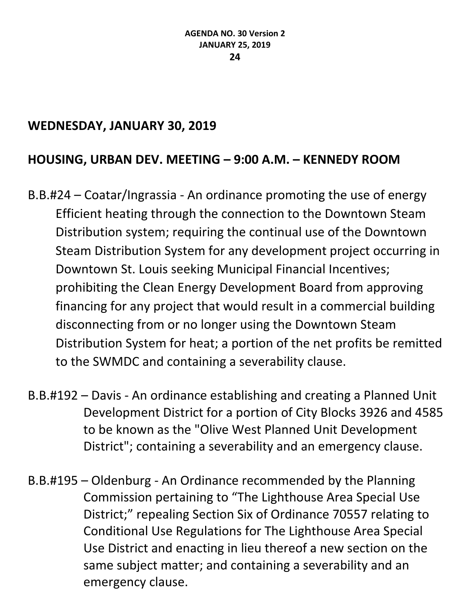### **WEDNESDAY, JANUARY 30, 2019**

### **HOUSING, URBAN DEV. MEETING – 9:00 A.M. – KENNEDY ROOM**

- B.B.#24 Coatar/Ingrassia An ordinance promoting the use of energy Efficient heating through the connection to the Downtown Steam Distribution system; requiring the continual use of the Downtown Steam Distribution System for any development project occurring in Downtown St. Louis seeking Municipal Financial Incentives; prohibiting the Clean Energy Development Board from approving financing for any project that would result in a commercial building disconnecting from or no longer using the Downtown Steam Distribution System for heat; a portion of the net profits be remitted to the SWMDC and containing a severability clause.
- B.B.#192 Davis An ordinance establishing and creating a Planned Unit Development District for a portion of City Blocks 3926 and 4585 to be known as the "Olive West Planned Unit Development District"; containing a severability and an emergency clause.
- B.B.#195 Oldenburg An Ordinance recommended by the Planning Commission pertaining to "The Lighthouse Area Special Use District;" repealing Section Six of Ordinance 70557 relating to Conditional Use Regulations for The Lighthouse Area Special Use District and enacting in lieu thereof a new section on the same subject matter; and containing a severability and an emergency clause.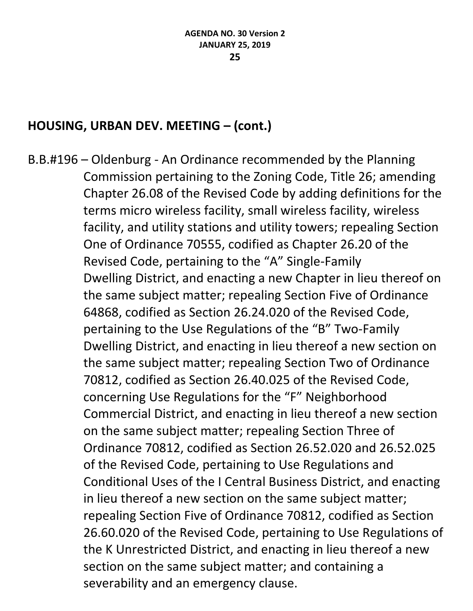### **HOUSING, URBAN DEV. MEETING – (cont.)**

B.B.#196 – Oldenburg - An Ordinance recommended by the Planning Commission pertaining to the Zoning Code, Title 26; amending Chapter 26.08 of the Revised Code by adding definitions for the terms micro wireless facility, small wireless facility, wireless facility, and utility stations and utility towers; repealing Section One of Ordinance 70555, codified as Chapter 26.20 of the Revised Code, pertaining to the "A" Single-Family Dwelling District, and enacting a new Chapter in lieu thereof on the same subject matter; repealing Section Five of Ordinance 64868, codified as Section 26.24.020 of the Revised Code, pertaining to the Use Regulations of the "B" Two-Family Dwelling District, and enacting in lieu thereof a new section on the same subject matter; repealing Section Two of Ordinance 70812, codified as Section 26.40.025 of the Revised Code, concerning Use Regulations for the "F" Neighborhood Commercial District, and enacting in lieu thereof a new section on the same subject matter; repealing Section Three of Ordinance 70812, codified as Section 26.52.020 and 26.52.025 of the Revised Code, pertaining to Use Regulations and Conditional Uses of the I Central Business District, and enacting in lieu thereof a new section on the same subject matter; repealing Section Five of Ordinance 70812, codified as Section 26.60.020 of the Revised Code, pertaining to Use Regulations of the K Unrestricted District, and enacting in lieu thereof a new section on the same subject matter; and containing a severability and an emergency clause.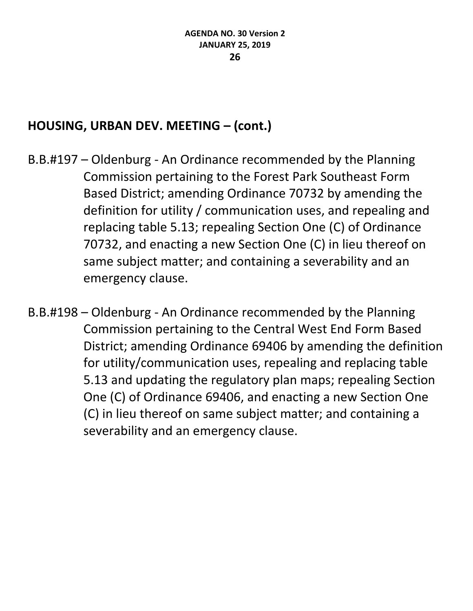## **HOUSING, URBAN DEV. MEETING – (cont.)**

- B.B.#197 Oldenburg An Ordinance recommended by the Planning Commission pertaining to the Forest Park Southeast Form Based District; amending Ordinance 70732 by amending the definition for utility / communication uses, and repealing and replacing table 5.13; repealing Section One (C) of Ordinance 70732, and enacting a new Section One (C) in lieu thereof on same subject matter; and containing a severability and an emergency clause.
- B.B.#198 Oldenburg An Ordinance recommended by the Planning Commission pertaining to the Central West End Form Based District; amending Ordinance 69406 by amending the definition for utility/communication uses, repealing and replacing table 5.13 and updating the regulatory plan maps; repealing Section One (C) of Ordinance 69406, and enacting a new Section One (C) in lieu thereof on same subject matter; and containing a severability and an emergency clause.